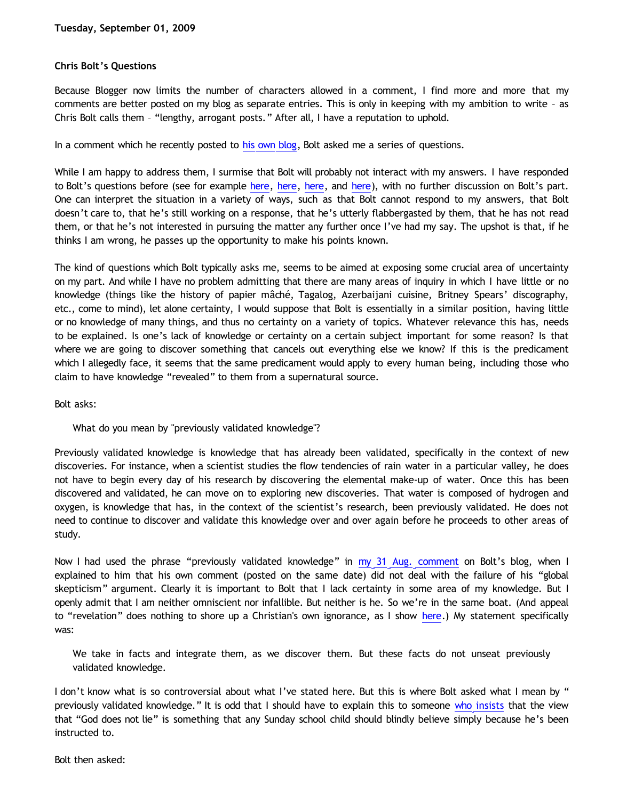## **Chris Bolt's Questions**

Because Blogger now limits the number of characters allowed in a comment, I find more and more that my comments are better posted on my blog as separate entries. This is only in keeping with my ambition to write – as Chris Bolt calls them – "lengthy, arrogant posts." After all, I have a reputation to uphold.

In a comment which he recently posted to [his own blog](http://choosinghats.blogspot.com/2009/07/friendly-chat-in-simple-terms.html), Bolt asked me a series of questions.

While I am happy to address them, I surmise that Bolt will probably not interact with my answers. I have responded to Bolt's questions before (see for example [here](http://bahnsenburner.blogspot.com/2009/07/chris-bolt-on-conditions-of-knowledge.html), here, here, and [here\)](http://bahnsenburner.blogspot.com/2009/07/rejoinder-to-chris-bolt.html), with no further discussion on Bolt's part. One can interpret the situation in a variety of ways, such as that Bolt cannot respond to my answers, that Bolt doesn't care to, that he's still working on a response, that he's utterly flabbergasted by them, that he has not read them, or that he's not interested in pursuing the matter any further once I've had my say. The upshot is that, if he thinks I am wrong, he passes up the opportunity to make his points known.

The kind of questions which Bolt typically asks me, seems to be aimed at exposing some crucial area of uncertainty on my part. And while I have no problem admitting that there are many areas of inquiry in which I have little or no knowledge (things like the history of papier mâché, Tagalog, Azerbaijani cuisine, Britney Spears' discography, etc., come to mind), let alone certainty, I would suppose that Bolt is essentially in a similar position, having little or no knowledge of many things, and thus no certainty on a variety of topics. Whatever relevance this has, needs to be explained. Is one's lack of knowledge or certainty on a certain subject important for some reason? Is that where we are going to discover something that cancels out everything else we know? If this is the predicament which I allegedly face, it seems that the same predicament would apply to every human being, including those who claim to have knowledge "revealed" to them from a supernatural source.

Bolt asks:

## What do you mean by "previously validated knowledge"?

Previously validated knowledge is knowledge that has already been validated, specifically in the context of new discoveries. For instance, when a scientist studies the flow tendencies of rain water in a particular valley, he does not have to begin every day of his research by discovering the elemental make-up of water. Once this has been discovered and validated, he can move on to exploring new discoveries. That water is composed of hydrogen and oxygen, is knowledge that has, in the context of the scientist's research, been previously validated. He does not need to continue to discover and validate this knowledge over and over again before he proceeds to other areas of study.

Now I had used the phrase "previously validated knowledge" in [my 31 Aug. comment](http://choosinghats.blogspot.com/2009/07/friendly-chat-in-simple-terms.html) on Bolt's blog, when I explained to him that his own comment (posted on the same date) did not deal with the failure of his "global skepticism" argument. Clearly it is important to Bolt that I lack certainty in some area of my knowledge. But I openly admit that I am neither omniscient nor infallible. But neither is he. So we're in the same boat. (And appeal to "revelation" does nothing to shore up a Christian's own ignorance, as I show [here](http://bahnsenburner.blogspot.com/2009/08/razorskiss-on-christian-god-as-basis-of_28.html).) My statement specifically was:

We take in facts and integrate them, as we discover them. But these facts do not unseat previously validated knowledge.

I don't know what is so controversial about what I've stated here. But this is where Bolt asked what I mean by " previously validated knowledge." It is odd that I should have to explain this to someone [who insists](http://choosinghats.blogspot.com/2009/08/missing-basics.html) that the view that "God does not lie" is something that any Sunday school child should blindly believe simply because he's been instructed to.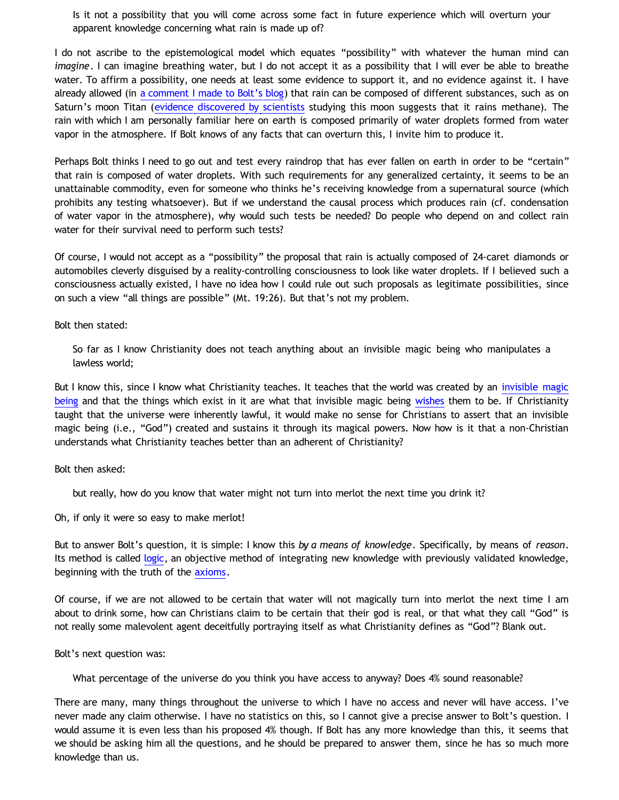Is it not a possibility that you will come across some fact in future experience which will overturn your apparent knowledge concerning what rain is made up of?

I do not ascribe to the epistemological model which equates "possibility" with whatever the human mind can *imagine*. I can imagine breathing water, but I do not accept it as a possibility that I will ever be able to breathe water. To affirm a possibility, one needs at least some evidence to support it, and no evidence against it. I have already allowed (in [a comment I made to Bolt's blog](http://choosinghats.blogspot.com/2009/07/friendly-chat-in-simple-terms.html)) that rain can be composed of different substances, such as on Saturn's moon Titan ([evidence discovered by scientists](http://www.astrobio.net/interview/1413/does-titan-rain-methane) studying this moon suggests that it rains methane). The rain with which I am personally familiar here on earth is composed primarily of water droplets formed from water vapor in the atmosphere. If Bolt knows of any facts that can overturn this, I invite him to produce it.

Perhaps Bolt thinks I need to go out and test every raindrop that has ever fallen on earth in order to be "certain" that rain is composed of water droplets. With such requirements for any generalized certainty, it seems to be an unattainable commodity, even for someone who thinks he's receiving knowledge from a supernatural source (which prohibits any testing whatsoever). But if we understand the causal process which produces rain (cf. condensation of water vapor in the atmosphere), why would such tests be needed? Do people who depend on and collect rain water for their survival need to perform such tests?

Of course, I would not accept as a "possibility" the proposal that rain is actually composed of 24-caret diamonds or automobiles cleverly disguised by a reality-controlling consciousness to look like water droplets. If I believed such a consciousness actually existed, I have no idea how I could rule out such proposals as legitimate possibilities, since on such a view "all things are possible" (Mt. 19:26). But that's not my problem.

Bolt then stated:

So far as I know Christianity does not teach anything about an invisible magic being who manipulates a lawless world;

But I know this, since I know what Christianity teaches. It teaches that the world was created by an [invisible magic](http://bahnsenburner.blogspot.com/2006/10/is-expression-invisible-magic-being.html) [being](http://bahnsenburner.blogspot.com/2006/10/is-expression-invisible-magic-being.html) and that the things which exist in it are what that invisible magic being [wishes](http://bahnsenburner.blogspot.com/2006/12/wishing-and-christian-deity.html) them to be. If Christianity taught that the universe were inherently lawful, it would make no sense for Christians to assert that an invisible magic being (i.e., "God") created and sustains it through its magical powers. Now how is it that a non-Christian understands what Christianity teaches better than an adherent of Christianity?

Bolt then asked:

but really, how do you know that water might not turn into merlot the next time you drink it?

Oh, if only it were so easy to make merlot!

But to answer Bolt's question, it is simple: I know this *by a means of knowledge*. Specifically, by means of *reason*. Its method is called [logic,](http://www.geocities.com/katholon/Logic.htm) an objective method of integrating new knowledge with previously validated knowledge, beginning with the truth of the [axioms](http://bahnsenburner.blogspot.com/2009/08/razorskiss-on-christian-god-as-basis-of_18.html).

Of course, if we are not allowed to be certain that water will not magically turn into merlot the next time I am about to drink some, how can Christians claim to be certain that their god is real, or that what they call "God" is not really some malevolent agent deceitfully portraying itself as what Christianity defines as "God"? Blank out.

Bolt's next question was:

What percentage of the universe do you think you have access to anyway? Does 4% sound reasonable?

There are many, many things throughout the universe to which I have no access and never will have access. I've never made any claim otherwise. I have no statistics on this, so I cannot give a precise answer to Bolt's question. I would assume it is even less than his proposed 4% though. If Bolt has any more knowledge than this, it seems that we should be asking him all the questions, and he should be prepared to answer them, since he has so much more knowledge than us.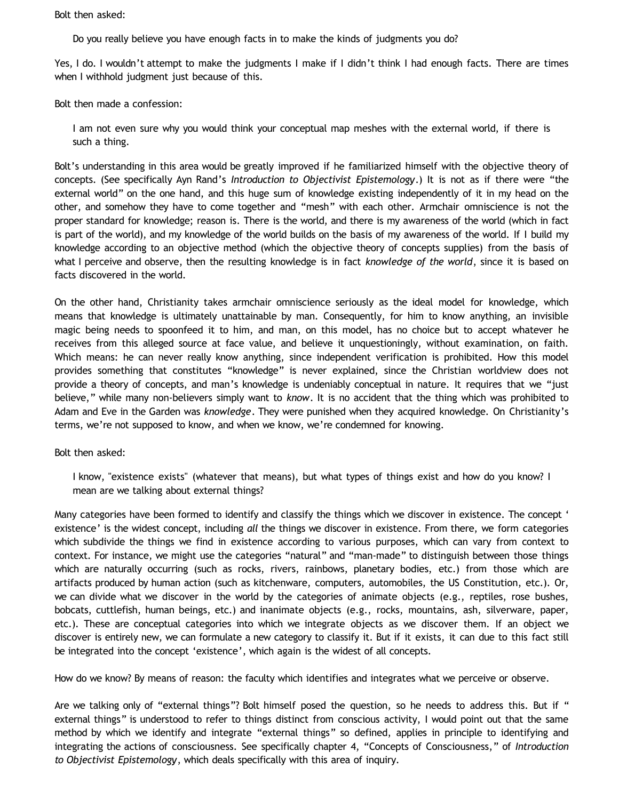Bolt then asked:

Do you really believe you have enough facts in to make the kinds of judgments you do?

Yes, I do. I wouldn't attempt to make the judgments I make if I didn't think I had enough facts. There are times when I withhold judgment just because of this.

Bolt then made a confession:

I am not even sure why you would think your conceptual map meshes with the external world, if there is such a thing.

Bolt's understanding in this area would be greatly improved if he familiarized himself with the objective theory of concepts. (See specifically Ayn Rand's *Introduction to Objectivist Epistemology*.) It is not as if there were "the external world" on the one hand, and this huge sum of knowledge existing independently of it in my head on the other, and somehow they have to come together and "mesh" with each other. Armchair omniscience is not the proper standard for knowledge; reason is. There is the world, and there is my awareness of the world (which in fact is part of the world), and my knowledge of the world builds on the basis of my awareness of the world. If I build my knowledge according to an objective method (which the objective theory of concepts supplies) from the basis of what I perceive and observe, then the resulting knowledge is in fact *knowledge of the world*, since it is based on facts discovered in the world.

On the other hand, Christianity takes armchair omniscience seriously as the ideal model for knowledge, which means that knowledge is ultimately unattainable by man. Consequently, for him to know anything, an invisible magic being needs to spoonfeed it to him, and man, on this model, has no choice but to accept whatever he receives from this alleged source at face value, and believe it unquestioningly, without examination, on faith. Which means: he can never really know anything, since independent verification is prohibited. How this model provides something that constitutes "knowledge" is never explained, since the Christian worldview does not provide a theory of concepts, and man's knowledge is undeniably conceptual in nature. It requires that we "just believe," while many non-believers simply want to *know*. It is no accident that the thing which was prohibited to Adam and Eve in the Garden was *knowledge*. They were punished when they acquired knowledge. On Christianity's terms, we're not supposed to know, and when we know, we're condemned for knowing.

Bolt then asked:

I know, "existence exists" (whatever that means), but what types of things exist and how do you know? I mean are we talking about external things?

Many categories have been formed to identify and classify the things which we discover in existence. The concept ' existence' is the widest concept, including *all* the things we discover in existence. From there, we form categories which subdivide the things we find in existence according to various purposes, which can vary from context to context. For instance, we might use the categories "natural" and "man-made" to distinguish between those things which are naturally occurring (such as rocks, rivers, rainbows, planetary bodies, etc.) from those which are artifacts produced by human action (such as kitchenware, computers, automobiles, the US Constitution, etc.). Or, we can divide what we discover in the world by the categories of animate objects (e.g., reptiles, rose bushes, bobcats, cuttlefish, human beings, etc.) and inanimate objects (e.g., rocks, mountains, ash, silverware, paper, etc.). These are conceptual categories into which we integrate objects as we discover them. If an object we discover is entirely new, we can formulate a new category to classify it. But if it exists, it can due to this fact still be integrated into the concept 'existence', which again is the widest of all concepts.

How do we know? By means of reason: the faculty which identifies and integrates what we perceive or observe.

Are we talking only of "external things"? Bolt himself posed the question, so he needs to address this. But if " external things" is understood to refer to things distinct from conscious activity, I would point out that the same method by which we identify and integrate "external things" so defined, applies in principle to identifying and integrating the actions of consciousness. See specifically chapter 4, "Concepts of Consciousness," of *Introduction to Objectivist Epistemology*, which deals specifically with this area of inquiry.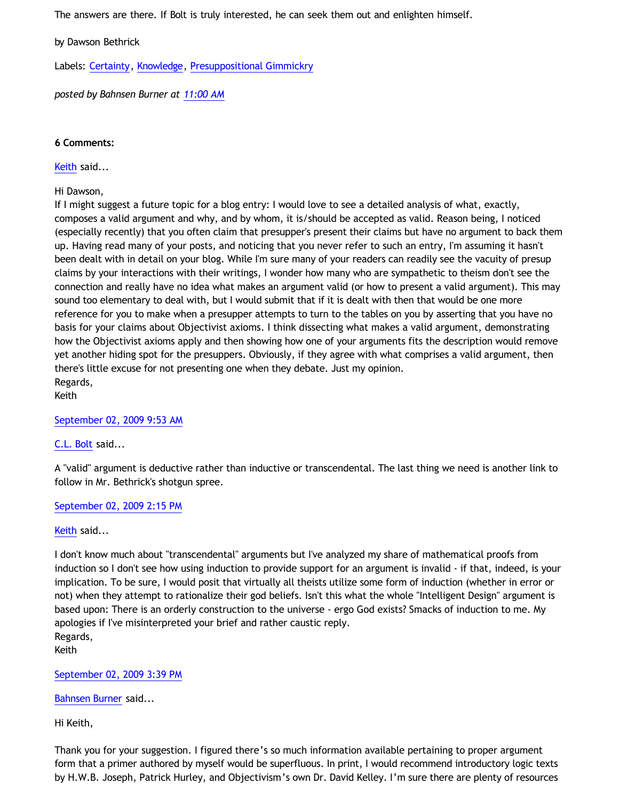The answers are there. If Bolt is truly interested, he can seek them out and enlighten himself.

by Dawson Bethrick

Labels: [Certainty](http://bahnsenburner.blogspot.com/search/label/Certainty), [Knowledge,](http://bahnsenburner.blogspot.com/search/label/Knowledge) [Presuppositional Gimmickry](http://bahnsenburner.blogspot.com/search/label/Presuppositional%20Gimmickry)

*posted by Bahnsen Burner at [11:00 AM](http://bahnsenburner.blogspot.com/2009/09/chris-bolts-questions.html)*

## **6 Comments:**

[Keith](http://www.blogger.com/profile/14844529811179063030) said...

Hi Dawson,

If I might suggest a future topic for a blog entry: I would love to see a detailed analysis of what, exactly, composes a valid argument and why, and by whom, it is/should be accepted as valid. Reason being, I noticed (especially recently) that you often claim that presupper's present their claims but have no argument to back them up. Having read many of your posts, and noticing that you never refer to such an entry, I'm assuming it hasn't been dealt with in detail on your blog. While I'm sure many of your readers can readily see the vacuity of presup claims by your interactions with their writings, I wonder how many who are sympathetic to theism don't see the connection and really have no idea what makes an argument valid (or how to present a valid argument). This may sound too elementary to deal with, but I would submit that if it is dealt with then that would be one more reference for you to make when a presupper attempts to turn to the tables on you by asserting that you have no basis for your claims about Objectivist axioms. I think dissecting what makes a valid argument, demonstrating how the Objectivist axioms apply and then showing how one of your arguments fits the description would remove yet another hiding spot for the presuppers. Obviously, if they agree with what comprises a valid argument, then there's little excuse for not presenting one when they debate. Just my opinion. Regards,

Keith

[September 02, 2009 9:53 AM](http://bahnsenburner.blogspot.com/2009/09/8210728335832465720)

[C.L. Bolt](http://www.blogger.com/profile/15797112064238146744) said...

A "valid" argument is deductive rather than inductive or transcendental. The last thing we need is another link to follow in Mr. Bethrick's shotgun spree.

[September 02, 2009 2:15 PM](http://bahnsenburner.blogspot.com/2009/09/4151480096461001525)

[Keith](http://www.blogger.com/profile/14844529811179063030) said...

I don't know much about "transcendental" arguments but I've analyzed my share of mathematical proofs from induction so I don't see how using induction to provide support for an argument is invalid - if that, indeed, is your implication. To be sure, I would posit that virtually all theists utilize some form of induction (whether in error or not) when they attempt to rationalize their god beliefs. Isn't this what the whole "Intelligent Design" argument is based upon: There is an orderly construction to the universe - ergo God exists? Smacks of induction to me. My apologies if I've misinterpreted your brief and rather caustic reply. Regards,

Keith

[September 02, 2009 3:39 PM](http://bahnsenburner.blogspot.com/2009/09/1565182971239383085)

[Bahnsen Burner](http://www.blogger.com/profile/11030029491768748360) said...

Hi Keith,

Thank you for your suggestion. I figured there's so much information available pertaining to proper argument form that a primer authored by myself would be superfluous. In print, I would recommend introductory logic texts by H.W.B. Joseph, Patrick Hurley, and Objectivism's own Dr. David Kelley. I'm sure there are plenty of resources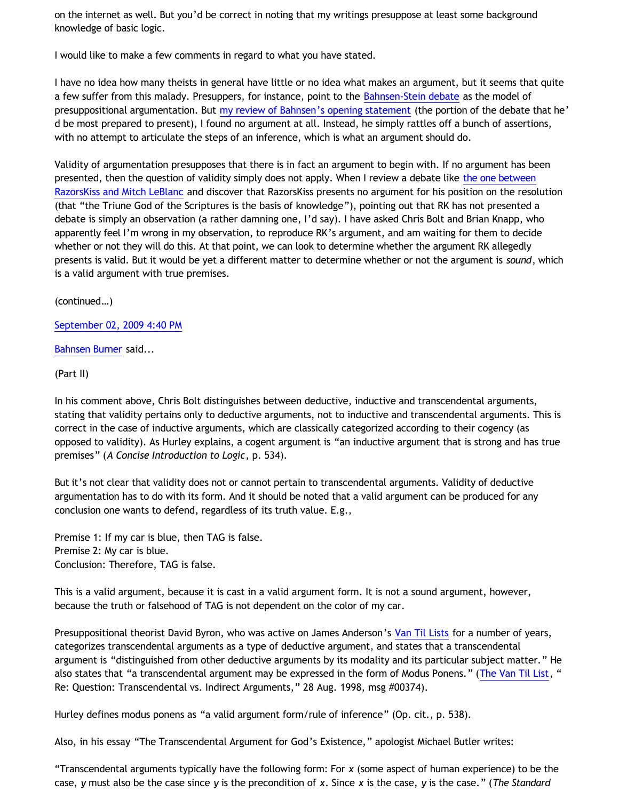on the internet as well. But you'd be correct in noting that my writings presuppose at least some background knowledge of basic logic.

I would like to make a few comments in regard to what you have stated.

I have no idea how many theists in general have little or no idea what makes an argument, but it seems that quite a few suffer from this malady. Presuppers, for instance, point to the [Bahnsen-Stein debate](http://www.bellevuechristian.org/faculty/dribera/htdocs/PDFs/Apol_Bahnsen_Stein_Debate_Transcript.pdf) as the model of presuppositional argumentation. But [my review of Bahnsen's opening statement](http://bahnsenburner.blogspot.com/2005/03/bahnsens-poof.html) (the portion of the debate that he' d be most prepared to present), I found no argument at all. Instead, he simply rattles off a bunch of assertions, with no attempt to articulate the steps of an inference, which is what an argument should do.

Validity of argumentation presupposes that there is in fact an argument to begin with. If no argument has been presented, then the question of validity simply does not apply. When I review a debate like [the one between](http://razorskiss.net/wp/2009/08/08/debate-transcript) [RazorsKiss and Mitch LeBlanc](http://razorskiss.net/wp/2009/08/08/debate-transcript) and discover that RazorsKiss presents no argument for his position on the resolution (that "the Triune God of the Scriptures is the basis of knowledge"), pointing out that RK has not presented a debate is simply an observation (a rather damning one, I'd say). I have asked Chris Bolt and Brian Knapp, who apparently feel I'm wrong in my observation, to reproduce RK's argument, and am waiting for them to decide whether or not they will do this. At that point, we can look to determine whether the argument RK allegedly presents is valid. But it would be yet a different matter to determine whether or not the argument is *sound*, which is a valid argument with true premises.

(continued…)

[September 02, 2009 4:40 PM](http://bahnsenburner.blogspot.com/2009/09/4744703985906021355)

[Bahnsen Burner](http://www.blogger.com/profile/11030029491768748360) said...

(Part II)

In his comment above, Chris Bolt distinguishes between deductive, inductive and transcendental arguments, stating that validity pertains only to deductive arguments, not to inductive and transcendental arguments. This is correct in the case of inductive arguments, which are classically categorized according to their cogency (as opposed to validity). As Hurley explains, a cogent argument is "an inductive argument that is strong and has true premises" (*A Concise Introduction to Logic*, p. 534).

But it's not clear that validity does not or cannot pertain to transcendental arguments. Validity of deductive argumentation has to do with its form. And it should be noted that a valid argument can be produced for any conclusion one wants to defend, regardless of its truth value. E.g.,

Premise 1: If my car is blue, then TAG is false. Premise 2: My car is blue. Conclusion: Therefore, TAG is false.

This is a valid argument, because it is cast in a valid argument form. It is not a sound argument, however, because the truth or falsehood of TAG is not dependent on the color of my car.

Presuppositional theorist David Byron, who was active on James Anderson's [Van Til Lists](http://www.vantil.info/lists.html) for a number of years, categorizes transcendental arguments as a type of deductive argument, and states that a transcendental argument is "distinguished from other deductive arguments by its modality and its particular subject matter." He also states that "a transcendental argument may be expressed in the form of Modus Ponens." ([The Van Til List,](http://www.ccir.ed.ac.uk/~jad/vantil-list/) " Re: Question: Transcendental vs. Indirect Arguments," 28 Aug. 1998, msg #00374).

Hurley defines modus ponens as "a valid argument form/rule of inference" (Op. cit., p. 538).

Also, in his essay "The Transcendental Argument for God's Existence," apologist Michael Butler writes:

"Transcendental arguments typically have the following form: For *x* (some aspect of human experience) to be the case, *y* must also be the case since *y* is the precondition of *x*. Since *x* is the case, *y* is the case." (*The Standard*